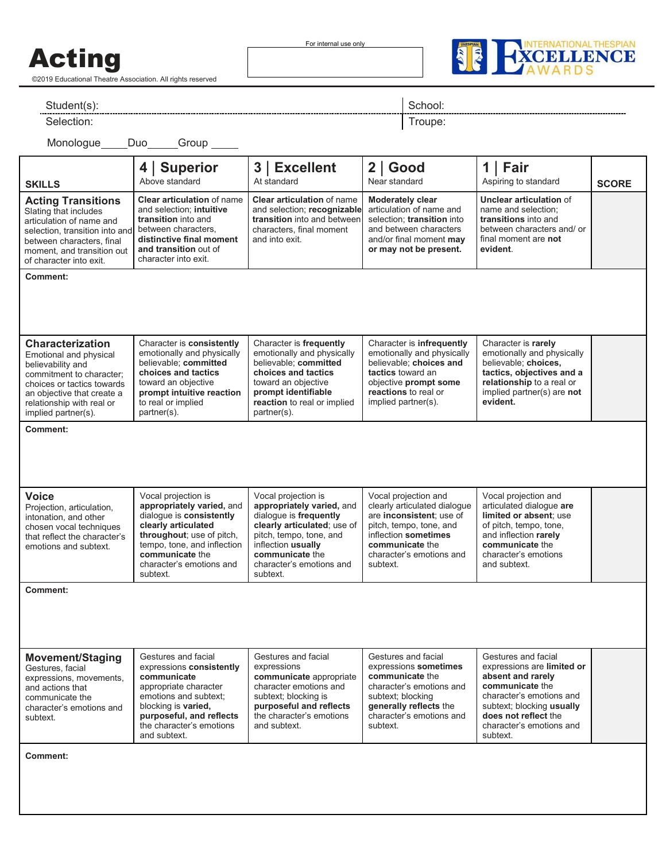## Acting

©2019 Educational Theatre Association. All rights reserved

For internal use only



Student(s): Student(s): Student(s): School: Student(s): School: Student(s): School: School: School: School: School: School: School: School: School: School: School: School: School: School: School: School: School: School: Sc

Selection: Troupe:

Monologue Duo Group

| <b>SKILLS</b>                                                                                                                                                                                                      | <b>Superior</b><br>4 <br>Above standard                                                                                                                                                                                    | 3   Excellent<br>At standard                                                                                                                                                                                          | $2  $ Good<br>Near standard                                                                                                                                                                    | 1<br>Fair<br>Aspiring to standard                                                                                                                                                                                  | <b>SCORE</b> |
|--------------------------------------------------------------------------------------------------------------------------------------------------------------------------------------------------------------------|----------------------------------------------------------------------------------------------------------------------------------------------------------------------------------------------------------------------------|-----------------------------------------------------------------------------------------------------------------------------------------------------------------------------------------------------------------------|------------------------------------------------------------------------------------------------------------------------------------------------------------------------------------------------|--------------------------------------------------------------------------------------------------------------------------------------------------------------------------------------------------------------------|--------------|
| <b>Acting Transitions</b><br>Slating that includes<br>articulation of name and<br>selection, transition into and<br>between characters, final<br>moment, and transition out<br>of character into exit.             | <b>Clear articulation of name</b><br>and selection; intuitive<br>transition into and<br>between characters,<br>distinctive final moment<br>and transition out of<br>character into exit.                                   | <b>Clear articulation of name</b><br>and selection; recognizable<br>transition into and between<br>characters, final moment<br>and into exit.                                                                         | <b>Moderately clear</b><br>articulation of name and<br>selection: transition into<br>and between characters<br>and/or final moment may<br>or may not be present.                               | Unclear articulation of<br>name and selection;<br>transitions into and<br>between characters and/or<br>final moment are not<br>evident.                                                                            |              |
| <b>Comment:</b>                                                                                                                                                                                                    |                                                                                                                                                                                                                            |                                                                                                                                                                                                                       |                                                                                                                                                                                                |                                                                                                                                                                                                                    |              |
| <b>Characterization</b><br>Emotional and physical<br>believability and<br>commitment to character;<br>choices or tactics towards<br>an objective that create a<br>relationship with real or<br>implied partner(s). | Character is consistently<br>emotionally and physically<br>believable; committed<br>choices and tactics<br>toward an objective<br>prompt intuitive reaction<br>to real or implied<br>partner(s).                           | Character is frequently<br>emotionally and physically<br>believable; committed<br>choices and tactics<br>toward an objective<br>prompt identifiable<br>reaction to real or implied<br>partner(s).                     | Character is infrequently<br>emotionally and physically<br>believable; choices and<br>tactics toward an<br>objective prompt some<br>reactions to real or<br>implied partner(s).                | Character is rarely<br>emotionally and physically<br>believable; choices,<br>tactics, objectives and a<br>relationship to a real or<br>implied partner(s) are not<br>evident.                                      |              |
| <b>Comment:</b>                                                                                                                                                                                                    |                                                                                                                                                                                                                            |                                                                                                                                                                                                                       |                                                                                                                                                                                                |                                                                                                                                                                                                                    |              |
| <b>Voice</b><br>Projection, articulation,<br>intonation, and other<br>chosen vocal techniques<br>that reflect the character's<br>emotions and subtext.                                                             | Vocal projection is<br>appropriately varied, and<br>dialogue is consistently<br>clearly articulated<br>throughout; use of pitch,<br>tempo, tone, and inflection<br>communicate the<br>character's emotions and<br>subtext. | Vocal projection is<br>appropriately varied, and<br>dialogue is frequently<br>clearly articulated; use of<br>pitch, tempo, tone, and<br>inflection usually<br>communicate the<br>character's emotions and<br>subtext. | Vocal projection and<br>clearly articulated dialogue<br>are inconsistent; use of<br>pitch, tempo, tone, and<br>inflection sometimes<br>communicate the<br>character's emotions and<br>subtext. | Vocal projection and<br>articulated dialogue are<br>limited or absent; use<br>of pitch, tempo, tone,<br>and inflection rarely<br>communicate the<br>character's emotions<br>and subtext.                           |              |
| <b>Comment:</b>                                                                                                                                                                                                    |                                                                                                                                                                                                                            |                                                                                                                                                                                                                       |                                                                                                                                                                                                |                                                                                                                                                                                                                    |              |
| <b>Movement/Staging</b><br>Gestures, facial<br>expressions, movements,<br>and actions that<br>communicate the<br>character's emotions and<br>subtext.                                                              | Gestures and facial<br>expressions consistently<br>communicate<br>appropriate character<br>emotions and subtext;<br>blocking is varied.<br>purposeful, and reflects<br>the character's emotions<br>and subtext.            | Gestures and facial<br>expressions<br>communicate appropriate<br>character emotions and<br>subtext; blocking is<br>purposeful and reflects<br>the character's emotions<br>and subtext.                                | Gestures and facial<br>expressions sometimes<br>communicate the<br>character's emotions and<br>subtext; blocking<br>generally reflects the<br>character's emotions and<br>subtext.             | Gestures and facial<br>expressions are limited or<br>absent and rarely<br>communicate the<br>character's emotions and<br>subtext; blocking usually<br>does not reflect the<br>character's emotions and<br>subtext. |              |
| Comment:                                                                                                                                                                                                           |                                                                                                                                                                                                                            |                                                                                                                                                                                                                       |                                                                                                                                                                                                |                                                                                                                                                                                                                    |              |